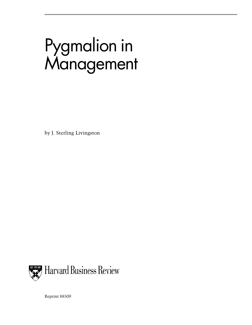# Pygmalion in Management

by J. Sterling Livingston



Reprint 88509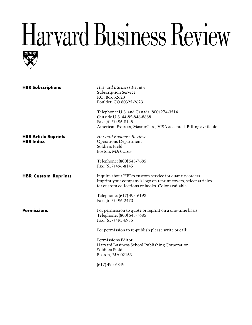# Harvard Business Review



**HBR Subscriptions**

*Harvard Business Review* Subscription Service P.O. Box 52623 Boulder, CO 80322-2623

*Harvard Business Review* Operations Department

Telephone: (800) 545-7685

Fax: (617) 496-8145

Soldiers Field Boston, MA 02163

Telephone: U.S. and Canada (800) 274-3214 Outside U.S. 44-85-846-8888 Fax: (617) 496-8145 American Express, MasterCard, VISA accepted. Billing available.

**HBR Article Reprints HBR Index**

**HBR Custom Reprints**

Inquire about HBR's custom service for quantity orders. Imprint your company's logo on reprint covers, select articles for custom collections or books. Color available.

Telephone: (617) 495-6198 Fax: (617) 496-2470

**Permissions**

For permission to quote or reprint on a one-time basis: Telephone: (800) 545-7685 Fax: (617) 495-6985

For permission to re-publish please write or call:

Permissions Editor Harvard Business School Publishing Corporation Soldiers Field Boston, MA 02163

(617) 495-6849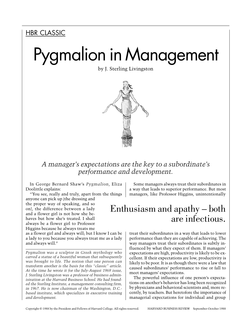# *'gmalion in Management*

by J. Sterling Livingston



*A manager's expectations are the key to a subordinate's performance and development.*

In George Bernard Shaw's *Pygmalion*, Eliza Doolittle explains:

"You see, really and truly, apart from the things anyone can pick up (the dressing and

the proper way of speaking, and so on), the difference between a lady and a flower girl is not how she behaves but how she's treated. I shall always be a flower girl to Professor Higgins because he always treats me

as a flower girl and always will; but I know I can be a lady to you because you always treat me as a lady and always will."

*Pygmalion was a sculptor in Greek mythology who carved a statue of a beautiful woman that subsequently was brought to life. The notion that one person can transform another is the basis for this "classic" article. At the time he wrote it for the July-August 1969 issue, J. Sterling Livingston was a professor of business administration at the Harvard Business School. He had founded the Sterling Institute, a management consulting firm, in 1967. He is now chairman of the Washington, D.C. based institute, which specializes in executive training and development.*

Some managers always treat their subordinates in a way that leads to superior performance. But most managers, like Professor Higgins, unintentionally

# Enthusiasm and apathy – both are infectious.

treat their subordinates in a way that leads to lower performance than they are capable of achieving. The way managers treat their subordinates is subtly influenced by what they expect of them. If managers' expectations are high, productivity is likely to be excellent. If their expectations are low, productivity is likely to be poor. It is as though there were a law that caused subordinates' performance to rise or fall to meet managers' expectations.

The powerful influence of one person's expectations on another's behavior has long been recognized by physicians and behavioral scientists and, more recently, by teachers. But heretofore the importance of managerial expectations for individual and group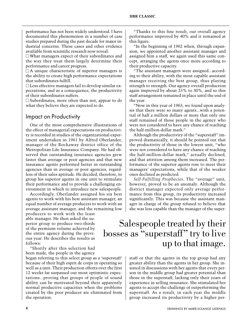performance has not been widely understood. I have documented this phenomenon in a number of case studies prepared during the past decade for major industrial concerns. These cases and other evidence available from scientific research now reveal:

 $\Box$  What managers expect of their subordinates and the way they treat them largely determine their performance and career progress.

 $\Box$  A unique characteristic of superior managers is the ability to create high performance expectations that subordinates fulfill.

 $\square$  Less effective managers fail to develop similar expectations, and as a consequence, the productivity of their subordinates suffers.

 $\Box$  Subordinates, more often than not, appear to do what they believe they are expected to do.

#### Impact on Productivity

One of the most comprehensive illustrations of the effect of managerial expectations on productivity is recorded in studies of the organizational experiment undertaken in 1961 by Alfred Oberlander, manager of the Rockaway district office of the Metropolitan Life Insurance Company. He had observed that outstanding insurance agencies grew faster than average or poor agencies and that new insurance agents performed better in outstanding agencies than in average or poor agencies, regardless of their sales aptitude. He decided, therefore, to group his superior agents in one unit to stimulate their performance and to provide a challenging environment in which to introduce new salespeople.

Accordingly, Oberlander assigned his six best agents to work with his best assistant manager, an equal number of average producers to work with an average assistant manager, and the remaining low

producers to work with the least able manager. He then asked the superior group to produce two-thirds of the premium volume achieved by the entire agency during the previous year. He describes the results as follows:

"Shortly after this selection had been made, the people in the agency

began referring to this select group as a 'superstaff' because of their high esprit de corps in operating so well as a unit. Their production efforts over the first 12 weeks far surpassed our most optimistic expectations...proving that groups of people of sound ability can be motivated beyond their apparently normal productive capacities when the problems created by the poor producer are eliminated from the operation.

"Thanks to this fine result, our overall agency performance improved by 40% and it remained at this figure.

"In the beginning of 1962 when, through expansion, we appointed another assistant manager and assigned him a staff, we again used this same concept, arranging the agents once more according to their productive capacity.

"The assistant managers were assigned...according to their ability, with the most capable assistant manager receiving the best group, thus playing strength to strength. Our agency overall production again improved by about 25% to 30%, and so this staff arrangement remained in place until the end of the year.

"Now in this year of 1963, we found upon analysis that there were so many agents...with a potential of half a million dollars or more that only one staff remained of those people in the agency who were not considered to have any chance of reaching the half-million-dollar mark."

Although the productivity of the "superstaff" improved dramatically, it should be pointed out that the productivity of those in the lowest unit, "who were not considered to have any chance of reaching the half-million-dollar mark," actually declined, and that attrition among them increased. The performance of the superior agents rose to meet their managers' expectations, while that of the weaker ones declined as predicted.

*Self-Fulfilling Prophecies.* The "average" unit, however, proved to be an anomaly. Although the district manager expected only average performance from this group, its productivity increased significantly. This was because the assistant manager in charge of the group refused to believe that she was less capable than the manager of the super-

## Salespeople treated by their bosses as "superstaff" try to live up to that image.

staff or that the agents in the top group had any greater ability than the agents in her group. She insisted in discussions with her agents that every person in the middle group had greater potential than those in the superstaff, lacking only their years of experience in selling insurance. She stimulated her agents to accept the challenge of outperforming the superstaff. As a result, in each year the middle group increased its productivity by a higher per-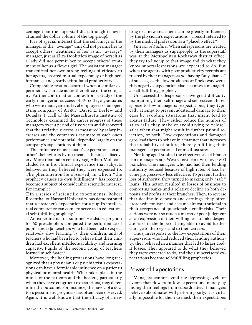centage than the superstaff did (although it never attained the dollar volume of the top group).

It is of special interest that the self-image of the manager of the "average" unit did not permit her to accept others' treatment of her as an "average" manager, just as Eliza Doolittle's image of herself as a lady did not permit her to accept others' treatment of her as a flower girl. The assistant manager transmitted her own strong feelings of efficacy to her agents, created mutual expectancy of high performance, and greatly stimulated productivity.

Comparable results occurred when a similar experiment was made at another office of the company. Further confirmation comes from a study of the early managerial success of 49 college graduates who were management-level employees of an operating company of AT&T. David E. Berlew and Douglas T. Hall of the Massachusetts Institute of Technology examined the career progress of these managers over a period of five years and discovered that their relative success, as measured by salary increases and the company's estimate of each one's performance and potential, depended largely on the company's expectations of them.

The influence of one person's expectations on another's behavior is by no means a business discovery. More than half a century ago, Albert Moll concluded from his clinical experience that subjects behaved as they believed they were expected to. The phenomenon he observed, in which "the prophecy causes its own fulfillment," has recently become a subject of considerable scientific interest. For example:

 $\Box$  In a series of scientific experiments, Robert Rosenthal of Harvard University has demonstrated that a "teacher's expectation for a pupil's intellectual competence can come to serve as an educational self-fulfilling prophecy."

 $\Box$  An experiment in a summer Headstart program for 60 preschoolers compared the performance of pupils under (a) teachers who had been led to expect relatively slow learning by their children, and (b) teachers who had been led to believe that their children had excellent intellectual ability and learning capacity. Pupils of the second group of teachers learned much faster.<sup>1</sup>

Moreover, the healing professions have long recognized that a physician's or psychiatrist's expectations can have a formidable influence on a patient's physical or mental health. What takes place in the minds of the patients and the healers, particularly when they have congruent expectations, may determine the outcome. For instance, the havoc of a doctor's pessimistic prognosis has often been observed. Again, it is well known that the efficacy of a new

drug or a new treatment can be greatly influenced by the physician's expectations – a result referred to by the medical profession as a "placebo effect."

*Pattern of Failure.* When salespersons are treated by their managers as superpeople, as the superstaff was at the Metropolitan Rockaway district office, they try to live up to that image and do what they know supersalespersons are expected to do. But when the agents with poor productivity records are treated by their managers as *not* having "any chance" of success, as the low producers at Rockaway were, this negative expectation also becomes a managerial self-fulfilling prophecy.

Unsuccessful salespersons have great difficulty maintaining their self-image and self-esteem. In response to low managerial expectations, they typically attempt to prevent additional damage to their egos by avoiding situations that might lead to greater failure. They either reduce the number of sales calls they make or avoid trying to "close" sales when that might result in further painful rejection, or both. Low expectations and damaged egos lead them to behave in a manner that increases the probability of failure, thereby fulfilling their managers' expectations. Let me illustrate:

Not long ago I studied the effectiveness of branch bank managers at a West Coast bank with over 500 branches. The managers who had had their lending authority reduced because of high rates of loss became progressively less effective. To prevent further loss of authority, they turned to making only "safe" loans. This action resulted in losses of business to competing banks and a relative decline in both deposits and profits at their branches. Then, to reverse that decline in deposits and earnings, they often "reached" for loans and became almost irrational in their acceptance of questionable credit risks. Their actions were not so much a matter of poor judgment as an expression of their willingness to take desperate risks in the hope of being able to avoid further damage to their egos and to their careers.

Thus, in response to the low expectations of their supervisors who had reduced their lending authority, they behaved in a manner that led to larger credit losses. They appeared to do what they believed they were expected to do, and their supervisors' expectations became self-fulfilling prophecies.

#### Power of Expectations

Managers cannot avoid the depressing cycle of events that flow from low expectations merely by hiding their feelings from subordinates. If managers believe subordinates will perform poorly, it is virtually impossible for them to mask their expectations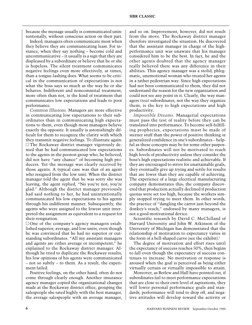because the message usually is communicated unintentionally, without conscious action on their part.

Indeed, managers often communicate most when they believe they are communicating least. For instance, when they say nothing – become cold and uncommunicative – it usually is a sign that they are displeased by a subordinate or believe that he or she is hopeless. The silent treatment communicates negative feelings even more effectively, at times, than a tongue-lashing does. What seems to be critical in the communication of expectations is not what the boss says so much as the way he or she behaves. Indifferent and noncommital treatment, more often than not, is the kind of treatment that communicates low expectations and leads to poor performance.

*Common Illusions.* Managers are more effective in communicating low expectations to their subordinates than in communicating high expectations to them, even though most managers believe exactly the opposite. It usually is astonishingly difficult for them to recognize the clarity with which they transmit negative feelings. To illustrate again:  $\Box$  The Rockaway district manager vigorously denied that he had communicated low expectations to the agents in the poorest group who, he believed, did not have "any chance" of becoming high producers. Yet the message was clearly received by those agents. A typical case was that of an agent who resigned from the low unit. When the district manager told the agent that he was sorry she was leaving, the agent replied, "No you're not; you're glad." Although the district manager previously had said nothing to her, he had unintentionally communicated his low expectations to his agents through his indifferent manner. Subsequently, the agents who were assigned to the lowest unit interpreted the assignment as equivalent to a request for their resignation.

 $\Box$  One of the company's agency managers established superior, average, and low units, even though he was convinced that he had no superior or outstanding subordinates. "All my assistant managers and agents are either average or incompetent," he explained to the Rockaway district manager. Although he tried to duplicate the Rockaway results, his low opinions of his agents were communicated – not so subtly – to them. As a result, the experiment failed.

Positive feelings, on the other hand, often do not come through clearly enough. Another insurance agency manager copied the organizational changes made at the Rockaway district office, grouping the salespeople she rated highly with the best manager, the average salespeople with an average manager, and so on. Improvement, however, did not result from the move. The Rockaway district manager therefore investigated the situation. He discovered that the assistant manager in charge of the highperformance unit was unaware that his manager considered him to be the best. In fact, he and the other agents doubted that the agency manager really believed there was any difference in their abilities. This agency manager was a stolid, phlegmatic, unemotional woman who treated her agents in a rather pedestrian way. Since high expectations had not been communicated to them, they did not understand the reason for the new organization and could not see any point in it. Clearly, the way managers *treat* subordinates, not the way they organize them, is the key to high expectations and high productivity.

*Impossible Dreams.* Managerial expectations must pass the test of reality before they can be translated into performance. To become self-fulfilling prophecies, expectations must be made of sterner stuff than the power of positive thinking or generalized confidence in one's subordinates – helpful as these concepts may be for some other purposes. Subordinates will not be motivated to reach high levels of productivity unless they consider the boss's high expectations realistic and achievable. If they are encouraged to strive for unattainable goals, they eventually give up trying and settle for results that are lower than they are capable of achieving. The experience of a large electrical manufacturing company demonstrates this; the company discovered that production actually declined if production quotas were set too high, because the workers simply stopped trying to meet them. In other words, the practice of "dangling the carrot just beyond the donkey's reach," endorsed by many managers, is not a good motivational device.

Scientific research by David C. McClelland of Harvard University and John W. Atkinson of the University of Michigan has demonstrated that the relationship of motivation to expectancy varies in the form of a bell-shaped curve (see the exhibit).<sup>2</sup>

The degree of motivation and effort rises until the expectancy of success reaches 50%, then begins to fall even though the expectancy of success continues to increase. No motivation or response is aroused when the goal is perceived as being either virtually certain or virtually impossible to attain.

Moreover, as Berlew and Hall have pointed out, if subordinates fail to meet performance expectations that are close to their own level of aspirations, they will lower personal performance goals and standards, performance will tend to drop off, and negative attitudes will develop toward the activity or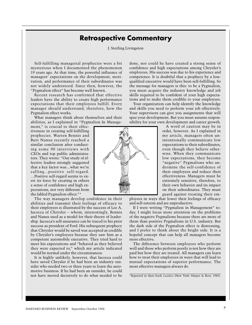#### **Retrospective Commentary**

J. Sterling Livingston

Self-fulfilling managerial prophecies were a bit mysterious when I documented the phenomenon 19 years ago. At that time, the powerful influence of managers' expectations on the development, motivation, and performance of their subordinates was not widely understood. Since then, however, the "Pygmalion effect" has become well known.

Recent research has confirmed that effective leaders have the ability to create high performance expectations that their employees fulfill. Every manager should understand, therefore, how the Pygmalion effect works.

What managers think about themselves and their abilities, as I explained in "Pygmalion In Manage-

ment," is crucial to their effectiveness in creating self-fulfilling prophecies. Warren Bennis and Burt Nanus recently reached a similar conclusion after conducting some 90 interviews with CEOs and top public administrators. They wrote: "Our study of effective leaders strongly suggested that a key factor was…what we're calling…positive self-regard. …Positive self-regard seems to exert its force by creating in others a sense of confidence and high expectations, not very different from the fabled Pygmalion effect."\*

The way managers develop confidence in their abilities and transmit their feelings of efficacy to their employees is illustrated by the success of Lee A. Iacocca of Chrysler – whom, interestingly, Bennis and Nanus used as a model for their theory of leadership. Iacocca's self-assurance can be traced to his prior success as president of Ford. His subsequent prophecy that Chrysler would be saved was accepted as credible by Chrysler's employees because they saw him as a competent automobile executive. They tried hard to meet his expectations and "behaved as they believed they were expected to," which my article indicated would be normal under the circumstances.

It is highly unlikely, however, that Iacocca could have saved Chrysler if he had been an industry outsider who needed two or three years to learn the automotive business. If he had been an outsider, he could not have moved decisively to do what needed to be

done, nor could he have created a strong sense of confidence and high expectations among Chrysler's employees. His success was due to his experience and competence. It is doubtful that a prophecy by a lessqualified executive would have been self-fulfilling. So the message for managers is this: to be a Pygmalion, you must acquire the industry knowledge and job skills required to be confident of your high expectations and to make them credible to your employees.

Your organization can help identify the knowledge and skills you need to perform your job effectively. Your supervisors can give you assignments that will spur your development. But you must assume responsibility for your own development and career growth.

> A word of caution may be in order, however. As I explained in my article, managers often unintentionally communicate low expectations to their subordinates, even though they believe otherwise. When they communicate low expectations, they become "negative" Pygmalions who undermine the self-confidence of their employees and reduce their effectiveness. Managers must be extremely sensitive, therefore, to their own behavior and its impact on their subordinates. They must guard against treating their em-

ployees in ways that lower their feelings of efficacy and self-esteem and are unproductive.

If I were writing "Pygmalion in Management" today, I might focus more attention on the problems of the negative Pygmalions because there are more of them than positive Pygmalions in U.S. industry. But the dark side of the Pygmalion effect is distressing, and I prefer to think about the bright side. It is a hopeful concept that can help all managers become more effective.

The difference between employees who perform well and those who perform poorly is not how they are paid but how they are treated. All managers can learn how to treat their employees in ways that will lead to mutual expectations of superior performance. The most effective managers always do.

\*Reported in their book *Leaders* (New York: Harper & Row, 1985).

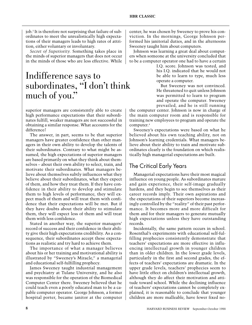job.<sup>3</sup> It is therefore not surprising that failure of subordinates to meet the unrealistically high expectations of their managers leads to high rates of attrition, either voluntary or involuntary.

*Secret of Superiority.* Something takes place in the minds of superior managers that does not occur in the minds of those who are less effective. While

## Indifference says to subordinates, "I don't think much of you."

superior managers are consistently able to create high performance expectations that their subordinates fulfill, weaker managers are not successful in obtaining a similar response. What accounts for the difference?

The answer, in part, seems to be that superior managers have greater confidence than other managers in their own ability to develop the talents of their subordinates. Contrary to what might be assumed, the high expectations of superior managers are based primarily on what they think about themselves – about their own ability to select, train, and motivate their subordinates. What managers believe about themselves subtly influences what they believe about their subordinates, what they expect of them, and how they treat them. If they have confidence in their ability to develop and stimulate them to high levels of performance, they will expect much of them and will treat them with confidence that their expectations will be met. But if they have doubts about their ability to stimulate them, they will expect less of them and will treat them with less confidence.

Stated in another way, the superior managers' record of success and their confidence in their ability give their high expectations credibility. As a consequence, their subordinates accept these expectations as realistic and try hard to achieve them.

The importance of what a manager believes about his or her training and motivational ability is illustrated by "Sweeney's Miracle," a managerial and educational self-fulfilling prophecy.

James Sweeney taught industrial management and psychiatry at Tulane University, and he also was responsible for the operation of the Biomedical Computer Center there. Sweeney believed that he could teach even a poorly educated man to be a capable computer operator. George Johnson, a former hospital porter, became janitor at the computer center; he was chosen by Sweeney to prove his conviction. In the mornings, George Johnson performed his janitorial duties, and in the afternoons Sweeney taught him about computers.

Johnson was learning a great deal about computers when someone at the university concluded that to be a computer operator one had to have a certain

> I.Q. score. Johnson was tested, and his I.Q. indicated that he would not be able to learn to type, much less operate a computer.

> But Sweeney was not convinced. He threatened to quit unless Johnson was permitted to learn to program and operate the computer. Sweeney prevailed, and he is still running

the computer center. Johnson is now in charge of the main computer room and is responsible for training new employees to program and operate the computer.4

Sweeney's expectations were based on what he believed about his own teaching ability, not on Johnson's learning credentials. What managers believe about their ability to train and motivate subordinates clearly is the foundation on which realistically high managerial expectations are built.

#### The Critical Early Years

Managerial expectations have their most magical influence on young people. As subordinates mature and gain experience, their self-image gradually hardens, and they begin to see themselves as their career records imply. Their own aspirations and the expectations of their superiors become increasingly controlled by the "reality" of their past performance. It becomes more and more difficult for them and for their managers to generate mutually high expectations unless they have outstanding records.

Incidentally, the same pattern occurs in school. Rosenthal's experiments with educational self-fulfilling prophecies consistently demonstrate that teachers' expectations are more effective in influencing intellectual growth in younger children than in older children. In the lower grade levels, particularly in the first and second grades, the effects of teachers' expectations are dramatic. In the upper grade levels, teachers' prophecies seem to have little effect on children's intellectual growth, although they do affect their motivation and attitude toward school. While the declining influence of teachers' expectations cannot be completely explained, it is reasonable to conclude that younger children are more malleable, have fewer fixed no-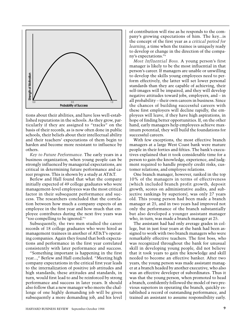

tions about their abilities, and have less well-established reputations in the schools. As they grow, particularly if they are assigned to "tracks" on the basis of their records, as is now often done in public schools, their beliefs about their intellectual ability and their teachers' expectations of them begin to harden and become more resistant to influence by others.

*Key to Future Performance.* The early years in a business organization, when young people can be strongly influenced by managerial expectations, are critical in determining future performance and career progress. This is shown by a study at AT&T.

Berlew and Hall found that what the company initially expected of 49 college graduates who were management-level employees was the most critical factor in their subsequent performance and success. The researchers concluded that the correlation between how much a company expects of an employee in the first year and how much that employee contributes during the next five years was "too compelling to be ignored."5

Subsequently, the two men studied the career records of 18 college graduates who were hired as management trainees in another of AT&T's operating companies. Again they found that both expectations and performance in the first year correlated consistently with later performance and success.

"Something important is happening in the first year...," Berlew and Hall concluded. "Meeting high company expectations in the critical first year leads to the internalization of positive job attitudes and high standards; these attitudes and standards, in turn, would first lead to and be reinforced by strong performance and success in later years. It should also follow that a new manager who meets the challenge of one highly demanding job will be given subsequently a more demanding job, and his level of contribution will rise as he responds to the company's growing expectations of him. The key...is the concept of the first year as a *critical period for learning*, a time when the trainee is uniquely ready to develop or change in the direction of the company's expectations."6

*Most Influential Boss.* A young person's first manager is likely to be the most influential in that person's career. If managers are unable or unwilling to develop the skills young employees need to perform effectively, the latter will set lower personal standards than they are capable of achieving, their self-images will be impaired, and they will develop negative attitudes toward jobs, employers, and – in all probability – their own careers in business. Since the chances of building successful careers with these first employers will decline rapidly, the employees will leave, if they have high aspirations, in hope of finding better opportunities. If, on the other hand, early managers help employees achieve maximum potential, they will build the foundations for successful careers.

With few exceptions, the most effective branch managers at a large West Coast bank were mature people in their forties and fifties. The bank's executives explained that it took considerable time for a person to gain the knowledge, experience, and judgment required to handle properly credit risks, customer relations, and employee relations.

One branch manager, however, ranked in the top 10% of the managers in terms of effectiveness (which included branch profit growth, deposit growth, scores on administrative audits, and subjective rankings by superiors), was only 27 years old. This young person had been made a branch manager at 25, and in two years had improved not only the performance of the branch substantially but also developed a younger assistant manager who, in turn, was made a branch manager at 25.

The assistant had had only average grades in college, but in just four years at the bank had been assigned to work with two branch managers who were remarkably effective teachers. The first boss, who was recognized throughout the bank for unusual skill in developing young people, did not believe that it took years to gain the knowledge and skill needed to become an effective banker. After two years, the young person was made assistant manager at a branch headed by another executive, who also was an effective developer of subordinates. Thus it was that the young person, when promoted to head a branch, confidently followed the model of two previous superiors in operating the branch, quickly established a record of outstanding performance, and trained an assistant to assume responsibility early.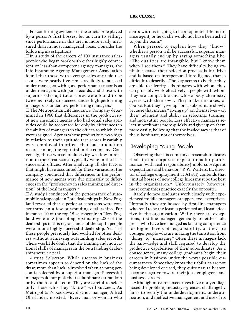For confirming evidence of the crucial role played by a person's first bosses, let us turn to selling, since performance in this area is more easily measured than in most managerial areas. Consider the following investigations:

 $\Box$  In a study of the careers of 100 insurance salespeople who began work with either highly competent or less-than-competent agency managers, the Life Insurance Agency Management Association found that those with average sales-aptitude test scores were nearly five times as likely to succeed under managers with good performance records as under managers with poor records, and those with superior sales aptitude scores were found to be twice as likely to succeed under high-performing managers as under low-performing managers.<sup>7</sup>

 $\Box$  The Metropolitan Life Insurance Company determined in 1960 that differences in the productivity of new insurance agents who had equal sales aptitudes could be accounted for only by differences in the ability of managers in the offices to which they were assigned. Agents whose productivity was high in relation to their aptitude test scores invariably were employed in offices that had production records among the top third in the company. Conversely, those whose productivity was low in relation to their test scores typically were in the least successful offices. After analyzing all the factors that might have accounted for these variations, the company concluded that differences in the performance of new agents were due primarily to differences in the "proficiency in sales training and direction" of the local managers.<sup>8</sup>

 $\Box$  A study I conducted of the performance of automobile salespeople in Ford dealerships in New England revealed that superior salespersons were concentrated in a few outstanding dealerships. For instance, 10 of the top 15 salespeople in New England were in 3 (out of approximately 200) of the dealerships in this region, and 5 of the top 15 people were in one highly successful dealership. Yet 4 of these people previously had worked for other dealers without achieving outstanding sales records. There was little doubt that the training and motivational skills of managers in the outstanding dealerships were critical.

*Astute Selection.* While success in business sometimes appears to depend on the luck of the draw, more than luck is involved when a young person is selected by a superior manager. Successful managers do not pick their subordinates at random or by the toss of a coin. They are careful to select only those who they "know" will succeed. As Metropolitan's Rockaway district manager, Alfred Oberlander, insisted: "Every man or woman who starts with us is going to be a top-notch life insurance agent, or he or she would not have been asked to join the team."

When pressed to explain how they "know" whether a person will be successful, superior managers usually end up by saying something like, "The qualities are intangible, but I know them when I see them." They have difficulty being explicit because their selection process is intuitive and is based on interpersonal intelligence that is difficult to describe. The key seems to be that they are able to identify subordinates with whom they can probably work effectively – people with whom they are compatible and whose body chemistry agrees with their own. They make mistakes, of course. But they "give up" on a subordinate slowly because that means "giving up" on themselves – on their judgment and ability in selecting, training, and motivating people. Less effective managers select subordinates more quickly and give up on them more easily, believing that the inadequacy is that of the subordinate, not of themselves.

#### Developing Young People

Observing that his company's research indicates that "initial corporate expectations for performance (with real responsibility) mold subsequent expectations and behavior," R.W. Walters, Jr., director of college employment at AT&T, contends that "initial bosses of new college hires must be the best in the organization."9 Unfortunately, however, most companies practice exactly the opposite.

Rarely do new graduates work closely with experienced middle managers or upper-level executives. Normally they are bossed by first-line managers who tend to be the least experienced and least effective in the organization. While there are exceptions, first-line managers generally are either "old pros" who have been judged as lacking competence for higher levels of responsibility, or they are younger people who are making the transition from "doing" to "managing." Often these managers lack the knowledge and skill required to develop the productive capabilities of their subordinates. As a consequence, many college graduates begin their careers in business under the worst possible circumstances. Since they know their abilities are not being developed or used, they quite naturally soon become negative toward their jobs, employers, and business careers.

Although most top executives have not yet diagnosed the problem, industry's greatest challenge by far is to rectify the underdevelopment, underutilization, and ineffective management and use of its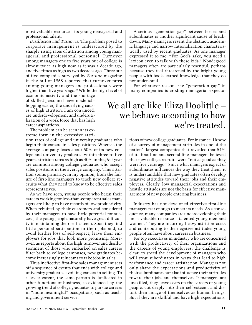most valuable resource – its young managerial and professional talent.

*Disillusion and Turnover.* The problem posed to corporate management is underscored by the sharply rising rates of attrition among young managerial and professional personnel. Turnover among managers one to five years out of college is almost twice as high now as it was a decade ago, and five times as high as two decades ago. Three out of five companies surveyed by *Fortune* magazine in the fall of 1968 reported that turnover rates among young managers and professionals were higher than five years ago.<sup>10</sup> While the high level of

economic activity and the shortage of skilled personnel have made jobhopping easier, the underlying causes of high attrition, I am convinced, are underdevelopment and underutilization of a work force that has high career aspirations.

The problem can be seen in its extreme form in the excessive attri-

tion rates of college and university graduates who begin their careers in sales positions. Whereas the average company loses about 50% of its new college and university graduates within three to five years, attrition rates as high as 40% in the *first* year are common among college graduates who accept sales positions in the average company. This attrition stems primarily, in my opinion, from the failure of first-line managers to teach new college recruits what they need to know to be effective sales representatives.

As we have seen, young people who begin their careers working for less-than-competent sales managers are likely to have records of low productivity. When rebuffed by their customers and considered by their managers to have little potential for success, the young people naturally have great difficulty in maintaining their self-esteem. Soon they find little personal satisfaction in their jobs and, to avoid further loss of self-respect, leave their employers for jobs that look more promising. Moreover, as reports about the high turnover and disillusionment of those who embarked on sales careers filter back to college campuses, new graduates become increasingly reluctant to take jobs in sales.

Thus ineffective first-line sales management sets off a sequence of events that ends with college and university graduates avoiding careers in selling. To a lesser extent, the same pattern is duplicated in other functions of business, as evidenced by the growing trend of college graduates to pursue careers in "more meaningful" occupations, such as teach-

A serious "generation gap" between bosses and subordinates is another significant cause of breakdown. Many managers resent the abstract, academic language and narrow rationalization characteristically used by recent graduates. As one manager expressed it to me, "For God's sake, you need a lexicon even to talk with these kids." Nondegreed managers often are particularly resentful, perhaps because they feel threatened by the bright young people with book-learned knowledge that they do not understand.

For whatever reason, the "generation gap" in many companies is eroding managerial expecta-

## We all are like Eliza Doolittle – we behave according to how we're treated.

tions of new college graduates. For instance, I know of a survey of management attitudes in one of the nation's largest companies that revealed that 54% of its first-line and second-line managers believed that new college recruits were "not as good as they were five years ago." Since what managers expect of subordinates influences the way they treat them, it is understandable that new graduates often develop negative attitudes toward their jobs and their employers. Clearly, low managerial expectations and hostile attitudes are not the basis for effective management of new people entering business.

Industry has not developed effective first-line managers fast enough to meet its needs. As a consequence, many companies are underdeveloping their most valuable resource – talented young men and women. They are incurring heavy attrition costs and contributing to the negative attitudes young people often have about careers in business.

For top executives in industry who are concerned with the productivity of their organizations and the careers of young employees, the challenge is clear: to speed the development of managers who will treat subordinates in ways that lead to high performance and career satisfaction. Managers not only shape the expectations and productivity of their subordinates but also influence their attitudes toward their jobs and themselves. If managers are unskilled, they leave scars on the careers of young people, cut deeply into their self-esteem, and distort their image of themselves as human beings. But if they are skillful and have high expectations,